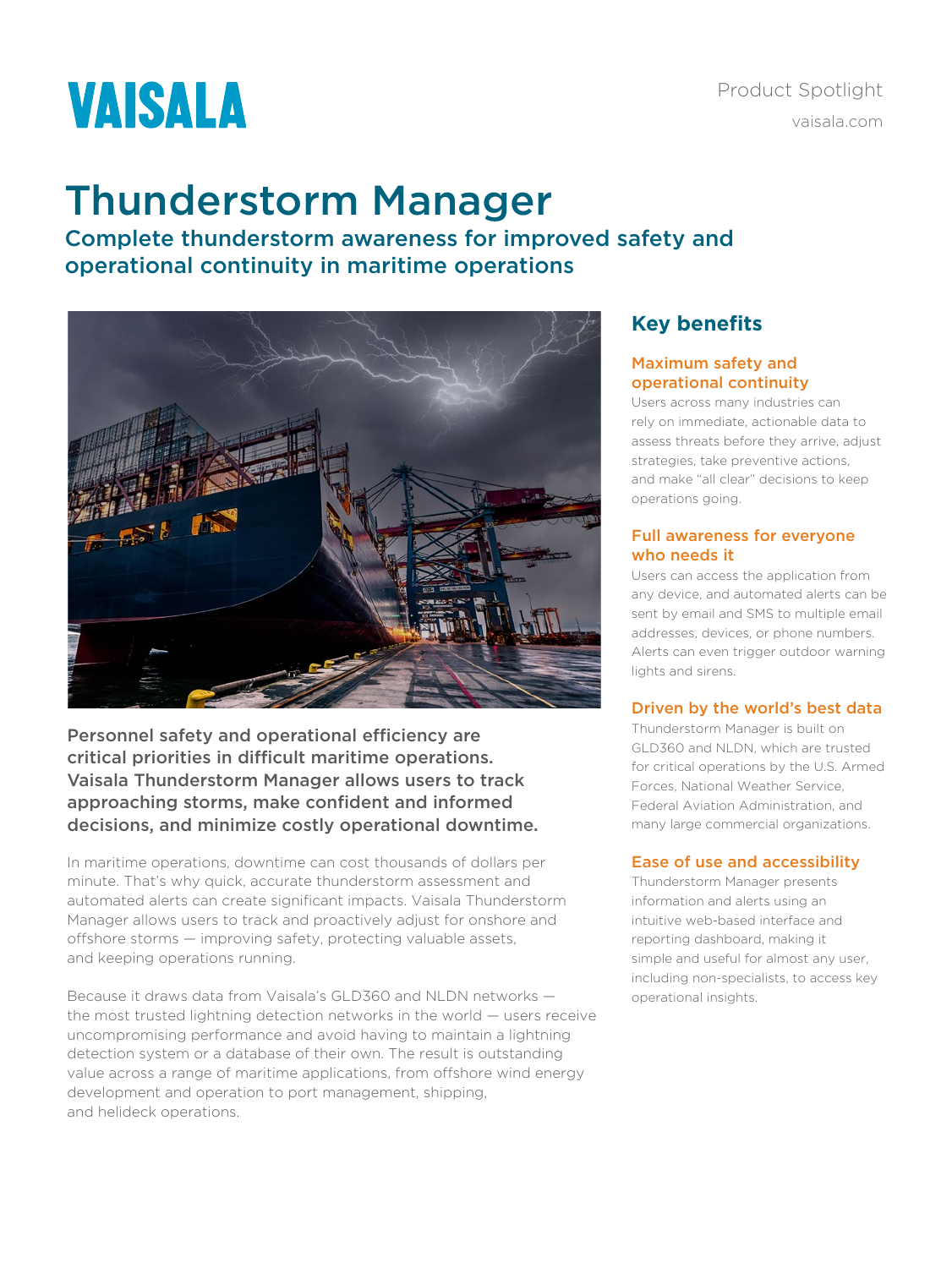# **VAISALA**

# Thunderstorm Manager

Complete thunderstorm awareness for improved safety and operational continuity in maritime operations



Personnel safety and operational efficiency are critical priorities in difficult maritime operations. Vaisala Thunderstorm Manager allows users to track approaching storms, make confident and informed decisions, and minimize costly operational downtime.

In maritime operations, downtime can cost thousands of dollars per minute. That's why quick, accurate thunderstorm assessment and automated alerts can create significant impacts. Vaisala Thunderstorm Manager allows users to track and proactively adjust for onshore and offshore storms — improving safety, protecting valuable assets, and keeping operations running.

Because it draws data from Vaisala's GLD360 and NLDN networks the most trusted lightning detection networks in the world — users receive uncompromising performance and avoid having to maintain a lightning detection system or a database of their own. The result is outstanding value across a range of maritime applications, from offshore wind energy development and operation to port management, shipping, and helideck operations.

# **Key benefits**

### Maximum safety and operational continuity

Users across many industries can rely on immediate, actionable data to assess threats before they arrive, adjust strategies, take preventive actions, and make "all clear" decisions to keep operations going.

### Full awareness for everyone who needs it

Users can access the application from any device, and automated alerts can be sent by email and SMS to multiple email addresses, devices, or phone numbers. Alerts can even trigger outdoor warning lights and sirens.

# Driven by the world's best data

Thunderstorm Manager is built on GLD360 and NLDN, which are trusted for critical operations by the U.S. Armed Forces, National Weather Service, Federal Aviation Administration, and many large commercial organizations.

# Ease of use and accessibility

Thunderstorm Manager presents information and alerts using an intuitive web-based interface and reporting dashboard, making it simple and useful for almost any user, including non-specialists, to access key operational insights.